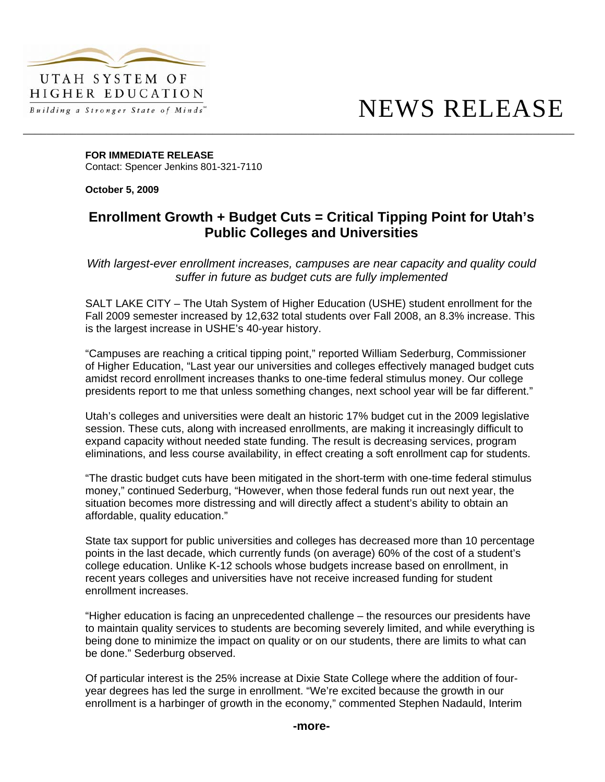

## NEWS RELEASE

**FOR IMMEDIATE RELEASE**  Contact: Spencer Jenkins 801-321-7110

**October 5, 2009** 

## **Enrollment Growth + Budget Cuts = Critical Tipping Point for Utah's Public Colleges and Universities**

\_\_\_\_\_\_\_\_\_\_\_\_\_\_\_\_\_\_\_\_\_\_\_\_\_\_\_\_\_\_\_\_\_\_\_\_\_\_\_\_\_\_\_\_\_\_\_\_\_\_\_\_\_\_\_\_\_\_\_\_\_\_\_\_\_\_\_\_\_\_\_\_\_\_\_\_\_\_\_\_\_\_\_\_\_\_\_\_\_\_\_\_\_

*With largest-ever enrollment increases, campuses are near capacity and quality could suffer in future as budget cuts are fully implemented* 

SALT LAKE CITY – The Utah System of Higher Education (USHE) student enrollment for the Fall 2009 semester increased by 12,632 total students over Fall 2008, an 8.3% increase. This is the largest increase in USHE's 40-year history.

"Campuses are reaching a critical tipping point," reported William Sederburg, Commissioner of Higher Education, "Last year our universities and colleges effectively managed budget cuts amidst record enrollment increases thanks to one-time federal stimulus money. Our college presidents report to me that unless something changes, next school year will be far different."

Utah's colleges and universities were dealt an historic 17% budget cut in the 2009 legislative session. These cuts, along with increased enrollments, are making it increasingly difficult to expand capacity without needed state funding. The result is decreasing services, program eliminations, and less course availability, in effect creating a soft enrollment cap for students.

"The drastic budget cuts have been mitigated in the short-term with one-time federal stimulus money," continued Sederburg, "However, when those federal funds run out next year, the situation becomes more distressing and will directly affect a student's ability to obtain an affordable, quality education."

State tax support for public universities and colleges has decreased more than 10 percentage points in the last decade, which currently funds (on average) 60% of the cost of a student's college education. Unlike K-12 schools whose budgets increase based on enrollment, in recent years colleges and universities have not receive increased funding for student enrollment increases.

"Higher education is facing an unprecedented challenge – the resources our presidents have to maintain quality services to students are becoming severely limited, and while everything is being done to minimize the impact on quality or on our students, there are limits to what can be done." Sederburg observed.

Of particular interest is the 25% increase at Dixie State College where the addition of fouryear degrees has led the surge in enrollment. "We're excited because the growth in our enrollment is a harbinger of growth in the economy," commented Stephen Nadauld, Interim